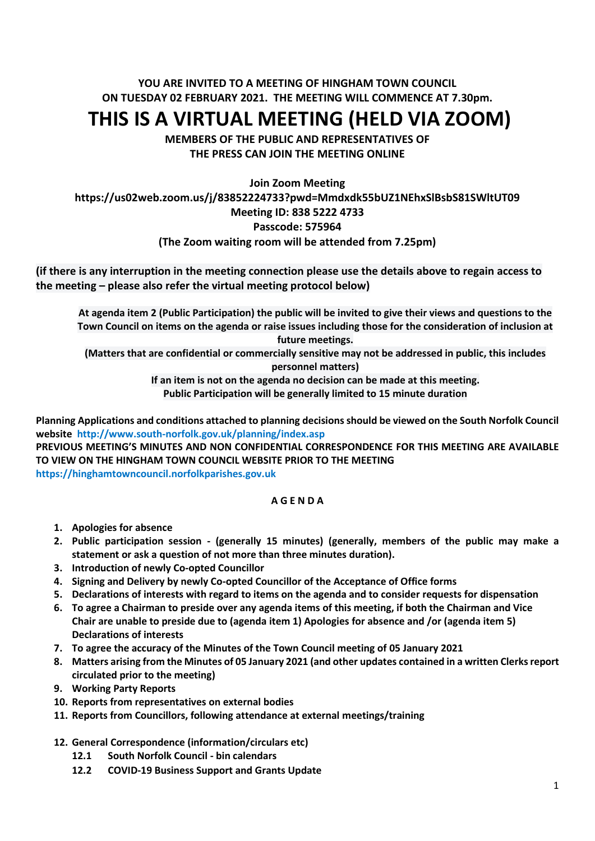## **YOU ARE INVITED TO A MEETING OF HINGHAM TOWN COUNCIL ON TUESDAY 02 FEBRUARY 2021. THE MEETING WILL COMMENCE AT 7.30pm.**

# **THIS IS A VIRTUAL MEETING (HELD VIA ZOOM)**

**MEMBERS OF THE PUBLIC AND REPRESENTATIVES OF THE PRESS CAN JOIN THE MEETING ONLINE**

## **Join Zoom Meeting https://us02web.zoom.us/j/83852224733?pwd=Mmdxdk55bUZ1NEhxSlBsbS81SWltUT09 Meeting ID: 838 5222 4733 Passcode: 575964 (The Zoom waiting room will be attended from 7.25pm)**

**(if there is any interruption in the meeting connection please use the details above to regain access to the meeting – please also refer the virtual meeting protocol below)**

**At agenda item 2 (Public Participation) the public will be invited to give their views and questions to the Town Council on items on the agenda or raise issues including those for the consideration of inclusion at future meetings.**

**(Matters that are confidential or commercially sensitive may not be addressed in public, this includes** 

**personnel matters)**

**If an item is not on the agenda no decision can be made at this meeting.**

**Public Participation will be generally limited to 15 minute duration**

**Planning Applications and conditions attached to planning decisions should be viewed on the South Norfolk Council website <http://www.south-norfolk.gov.uk/planning/index.asp>**

**PREVIOUS MEETING'S MINUTES AND NON CONFIDENTIAL CORRESPONDENCE FOR THIS MEETING ARE AVAILABLE TO VIEW ON THE HINGHAM TOWN COUNCIL WEBSITE PRIOR TO THE MEETING [https://hinghamtowncouncil.norfolkparishes.gov.uk](https://hinghamtowncouncil.norfolkparishes.gov.uk/)**

### **A G E N D A**

- **1. Apologies for absence**
- **2. Public participation session - (generally 15 minutes) (generally, members of the public may make a statement or ask a question of not more than three minutes duration).**
- **3. Introduction of newly Co-opted Councillor**
- **4. Signing and Delivery by newly Co-opted Councillor of the Acceptance of Office forms**
- **5. Declarations of interests with regard to items on the agenda and to consider requests for dispensation**
- **6. To agree a Chairman to preside over any agenda items of this meeting, if both the Chairman and Vice Chair are unable to preside due to (agenda item 1) Apologies for absence and /or (agenda item 5) Declarations of interests**
- **7. To agree the accuracy of the Minutes of the Town Council meeting of 05 January 2021**
- **8. Matters arising from the Minutes of 05 January 2021 (and other updates contained in a written Clerksreport circulated prior to the meeting)**
- **9. Working Party Reports**
- **10. Reports from representatives on external bodies**
- **11. Reports from Councillors, following attendance at external meetings/training**
- **12. General Correspondence (information/circulars etc)**
	- **12.1 South Norfolk Council - bin calendars**
	- **12.2 COVID-19 Business Support and Grants Update**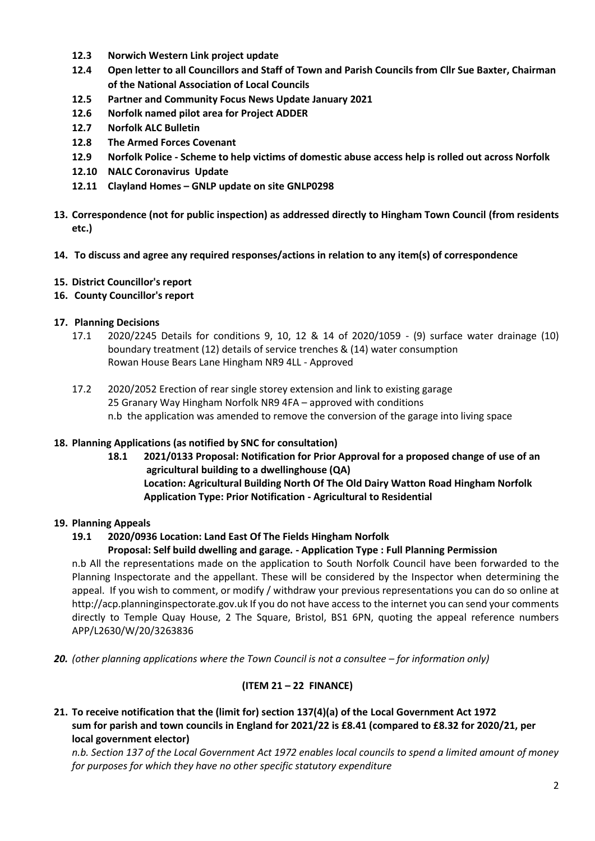- **12.3 Norwich Western Link project update**
- **12.4 Open letter to all Councillors and Staff of Town and Parish Councils from Cllr Sue Baxter, Chairman of the National Association of Local Councils**
- **12.5 Partner and Community Focus News Update January 2021**
- **12.6 Norfolk named pilot area for Project ADDER**
- **12.7 Norfolk ALC Bulletin**
- **12.8 The Armed Forces Covenant**
- **12.9 Norfolk Police - Scheme to help victims of domestic abuse access help is rolled out across Norfolk**
- **12.10 NALC Coronavirus Update**
- **12.11 Clayland Homes – GNLP update on site GNLP0298**
- **13. Correspondence (not for public inspection) as addressed directly to Hingham Town Council (from residents etc.)**
- **14. To discuss and agree any required responses/actions in relation to any item(s) of correspondence**
- **15. District Councillor's report**
- **16. County Councillor's report**

### **17. Planning Decisions**

- 17.1 2020/2245 Details for conditions 9, 10, 12 & 14 of 2020/1059 (9) surface water drainage (10) boundary treatment (12) details of service trenches & (14) water consumption Rowan House Bears Lane Hingham NR9 4LL - Approved
- 17.2 2020/2052 Erection of rear single storey extension and link to existing garage 25 Granary Way Hingham Norfolk NR9 4FA – approved with conditions n.b the application was amended to remove the conversion of the garage into living space

### **18. Planning Applications (as notified by SNC for consultation)**

- **18.1 2021/0133 Proposal: Notification for Prior Approval for a proposed change of use of an agricultural building to a dwellinghouse (QA) Location: Agricultural Building North Of The Old Dairy Watton Road Hingham Norfolk Application Type: Prior Notification - Agricultural to Residential**
- **19. Planning Appeals**

## **19.1 2020/0936 Location: Land East Of The Fields Hingham Norfolk**

### **Proposal: Self build dwelling and garage. - Application Type : Full Planning Permission**

n.b All the representations made on the application to South Norfolk Council have been forwarded to the Planning Inspectorate and the appellant. These will be considered by the Inspector when determining the appeal. If you wish to comment, or modify / withdraw your previous representations you can do so online at http://acp.planninginspectorate.gov.uk If you do not have access to the internet you can send your comments directly to Temple Quay House, 2 The Square, Bristol, BS1 6PN, quoting the appeal reference numbers APP/L2630/W/20/3263836

**20.** (other planning applications where the Town Council is not a consultee – for information only)

### **(ITEM 21 – 22 FINANCE)**

**21. To receive notification that the (limit for) section 137(4)(a) of the Local Government Act 1972 sum for parish and town councils in England for 2021/22 is £8.41 (compared to £8.32 for 2020/21, per local government elector)**

*n.b. Section 137 of the Local Government Act 1972 enables local councils to spend a limited amount of money for purposes for which they have no other specific statutory expenditure*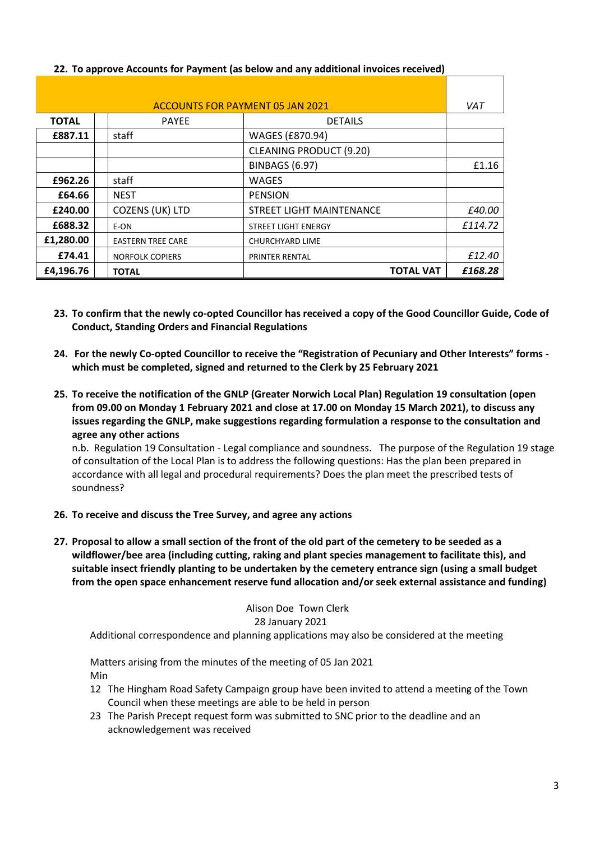| <b>ACCOUNTS FOR PAYMENT 05 JAN 2021</b> |  |                          |                                | VAT     |
|-----------------------------------------|--|--------------------------|--------------------------------|---------|
| <b>TOTAL</b>                            |  | <b>PAYEE</b>             | <b>DETAILS</b>                 |         |
| £887.11                                 |  | staff                    | WAGES (£870.94)                |         |
|                                         |  |                          | <b>CLEANING PRODUCT (9.20)</b> |         |
|                                         |  |                          | <b>BINBAGS (6.97)</b>          | £1.16   |
| £962.26                                 |  | staff                    | <b>WAGES</b>                   |         |
| £64.66                                  |  | <b>NEST</b>              | <b>PENSION</b>                 |         |
| £240.00                                 |  | COZENS (UK) LTD          | STREET LIGHT MAINTENANCE       | £40.00  |
| £688.32                                 |  | E-ON                     | <b>STREET LIGHT ENERGY</b>     | £114.72 |
| £1,280.00                               |  | <b>EASTERN TREE CARE</b> | <b>CHURCHYARD LIME</b>         |         |
| £74.41                                  |  | <b>NORFOLK COPIERS</b>   | <b>PRINTER RENTAL</b>          | £12.40  |
| £4,196.76                               |  | <b>TOTAL</b>             | <b>TOTAL VAT</b>               | £168.28 |

## **22. To approve Accounts for Payment (as below and any additional invoices received)**

- **23. To confirm that the newly co-opted Councillor has received a copy of the Good Councillor Guide, Code of Conduct, Standing Orders and Financial Regulations**
- **24. For the newly Co-opted Councillor to receive the "Registration of Pecuniary and Other Interests" forms which must be completed, signed and returned to the Clerk by 25 February 2021**
- **25. To receive the notification of the GNLP (Greater Norwich Local Plan) Regulation 19 consultation (open from 09.00 on Monday 1 February 2021 and close at 17.00 on Monday 15 March 2021), to discuss any issues regarding the GNLP, make suggestions regarding formulation a response to the consultation and agree any other actions**

n.b. Regulation 19 Consultation - Legal compliance and soundness. The purpose of the Regulation 19 stage of consultation of the Local Plan is to address the following questions: Has the plan been prepared in accordance with all legal and procedural requirements? Does the plan meet the prescribed tests of soundness?

- **26. To receive and discuss the Tree Survey, and agree any actions**
- **27. Proposal to allow a small section of the front of the old part of the cemetery to be seeded as a wildflower/bee area (including cutting, raking and plant species management to facilitate this), and suitable insect friendly planting to be undertaken by the cemetery entrance sign (using a small budget from the open space enhancement reserve fund allocation and/or seek external assistance and funding)**

#### Alison Doe Town Clerk 28 January 2021

Additional correspondence and planning applications may also be considered at the meeting

Matters arising from the minutes of the meeting of 05 Jan 2021 Min

- 12 The Hingham Road Safety Campaign group have been invited to attend a meeting of the Town Council when these meetings are able to be held in person
- 23 The Parish Precept request form was submitted to SNC prior to the deadline and an acknowledgement was received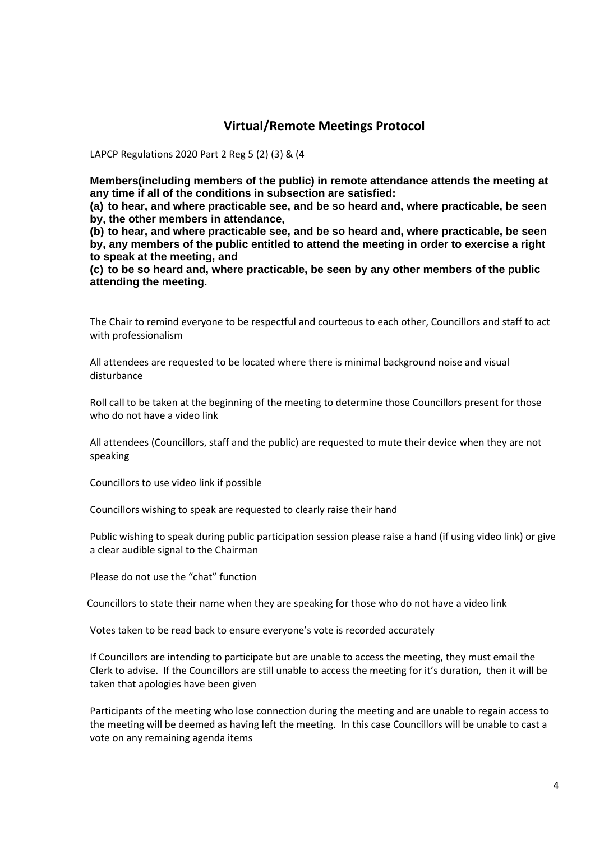## **Virtual/Remote Meetings Protocol**

LAPCP Regulations 2020 Part 2 Reg 5 (2) (3) & (4

**Members(including members of the public) in remote attendance attends the meeting at any time if all of the conditions in subsection are satisfied:**

**(a) to hear, and where practicable see, and be so heard and, where practicable, be seen by, the other members in attendance,**

**(b) to hear, and where practicable see, and be so heard and, where practicable, be seen by, any members of the public entitled to attend the meeting in order to exercise a right to speak at the meeting, and**

**(c) to be so heard and, where practicable, be seen by any other members of the public attending the meeting.**

The Chair to remind everyone to be respectful and courteous to each other, Councillors and staff to act with professionalism

All attendees are requested to be located where there is minimal background noise and visual disturbance

Roll call to be taken at the beginning of the meeting to determine those Councillors present for those who do not have a video link

All attendees (Councillors, staff and the public) are requested to mute their device when they are not speaking

Councillors to use video link if possible

Councillors wishing to speak are requested to clearly raise their hand

Public wishing to speak during public participation session please raise a hand (if using video link) or give a clear audible signal to the Chairman

Please do not use the "chat" function

Councillors to state their name when they are speaking for those who do not have a video link

Votes taken to be read back to ensure everyone's vote is recorded accurately

If Councillors are intending to participate but are unable to access the meeting, they must email the Clerk to advise. If the Councillors are still unable to access the meeting for it's duration, then it will be taken that apologies have been given

Participants of the meeting who lose connection during the meeting and are unable to regain access to the meeting will be deemed as having left the meeting. In this case Councillors will be unable to cast a vote on any remaining agenda items